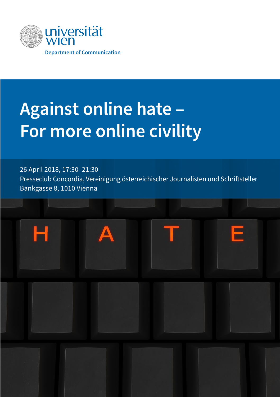

# **Against online hate – For more online civility**

26 April 2018, 17:30–21:30 Presseclub Concordia, Vereinigung österreichischer Journalisten und Schriftsteller Bankgasse 8, 1010 Vienna

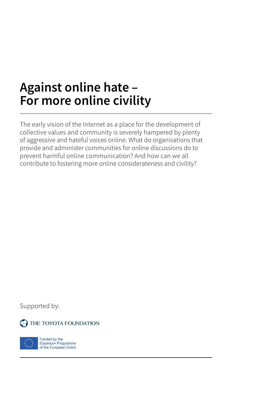# **Against online hate – For more online civility**

The early vision of the Internet as a place for the development of collective values and community is severely hampered by plenty of aggressive and hateful voices online. What do organisations that provide and administer communities for online discussions do to prevent harmful online communication? And how can we all contribute to fostering more online considerateness and civility?

Supported by:

**C** THE TOYOTA FOUNDATION



Funded by the<br>Erasmus+ Programme of the European Union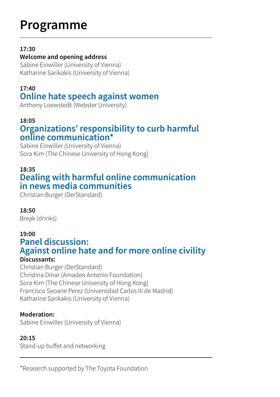# **Programme**

#### **17:30**

#### **Welcome and opening address**

Sabine Einwiller (University of Vienna) Katharine Sarikakis (University of Vienna)

### **17:40**

# **Online hate speech against women**

Anthony Loewstedt (Webster University)

#### **18:05**

## **Organizations' responsibility to curb harmful online communication\***

Sabine Einwiller (University of Vienna) Sora Kim (The Chinese University of Hong Kong)

#### **18:35 Dealing with harmful online communication in news media communities**

Christian Burger (DerStandard)

#### **18:50**

Break (drinks)

#### **19:00**

## **Panel discussion: Against online hate and for more online civility**

#### **Discussants:**

Christian Burger (DerStandard) Christina Dinar (Amadeo Antonio Foundation) Sora Kim (The Chinese University of Hong Kong) Francisco Seoane Perez (Universidad Carlos III de Madrid) Katharine Sarikakis (University of Vienna)

#### **Moderation:**

Sabine Einwiller (University of Vienna)

#### **20:15**

Stand-up buffet and networking

j \*Research supported by The Toyota Foundation